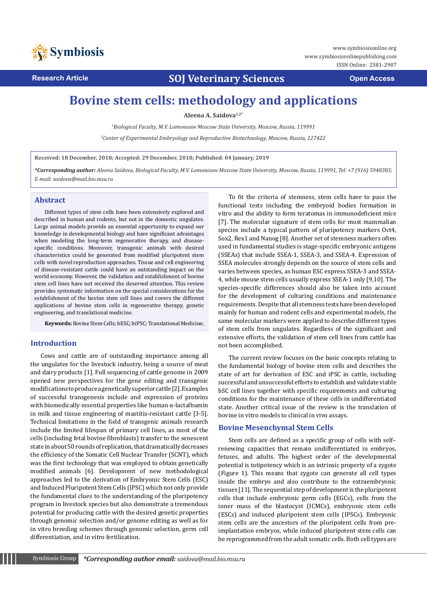

**Symbiosississuline.org** www.symbiosisonlinepublishing.com ISSN Online: 2381-2907

**Research Article COJ Veterinary Sciences Open Access** 

# **Bovine stem cells: methodology and applications**

**Aleena A. Saidova1,2\***

*1 Biological Faculty, M.V. Lomonosov Moscow State University, Moscow, Russia, 119991*

*2 Center of Experimental Embryology and Reproductive Biotechnology, Moscow, Russia, 127422*

**Received: 18 December, 2018; Accepted: 29 December, 2018; Published: 04 January, 2019**

*\*Corresponding author: Aleena Saidova, Biological Faculty, M.V. Lomonosov Moscow State University, Moscow, Russia, 119991, Tel: +7 (916) 5948383; E-mail: saidova@mail.bio.msu.ru* 

#### **Abstract**

Different types of stem cells have been extensively explored and described in human and rodents, but not in the domestic ungulates. Large animal models provide an essential opportunity to expand our knowledge in developmental biology and have significant advantages when modeling the long-term regenerative therapy, and diseasespecific conditions. Moreover, transgenic animals with desired characteristics could be generated from modified pluripotent stem cells with novel reproduction approaches. Tissue and cell engineering of disease-resistant cattle could have an outstanding impact on the world economy. However, the validation and establishment of bovine stem cell lines have not received the deserved attention. This review provides systematic information on the special considerations for the establishment of the bovine stem cell lines and covers the different applications of bovine stem cells in regenerative therapy, genetic engineering, and translational medicine.

**Keywords:** Bovine Stem Cells; bESC; biPSC; Translational Medicine;

# **Introduction**

Cows and cattle are of outstanding importance among all the ungulates for the livestock industry, being a source of meat and dairy products [1]. Full sequencing of cattle genome in 2009 opened new perspectives for the gene editing and transgenic modifications to produce a genetically superior cattle [2]. Examples of successful transgenesis include and expression of proteins with biomedically essential properties like human α-lactalbumin in milk and tissue engineering of mastitis-resistant cattle [3-5]. Technical limitations in the field of transgenic animals research include the limited lifespan of primary cell lines, as most of the cells (including fetal bovine fibroblasts) transfer to the senescent state in about 50 rounds of replication, that dramatically decreases the efficiency of the Somatic Cell Nuclear Transfer (SCNT), which was the first technology that was employed to obtain genetically modified animals [6]. Development of new methodological approaches led to the derivation of Embryonic Stem Cells (ESC) and Induced Pluripotent Stem Cells (IPSC) which not only provide the fundamental clues to the understanding of the pluripotency program in livestock species but also demonstrate a tremendous potential for producing cattle with the desired genetic properties through genomic selection and/or genome editing as well as for in vitro breeding schemes through genomic selection, germ cell differentiation, and in vitro fertilization.

To fit the criteria of stemness, stem cells have to pass the functional tests including the embryoid bodies formation in vitro and the ability to form teratomas in immunodeficient mice [7]. The molecular signature of stem cells for most mammalian species include a typical pattern of pluripotency markers Oct4, Sox2, Rex1 and Nanog [8]. Another set of stemness markers often used in fundamental studies is stage-specific embryonic antigens (SSEAs) that include SSEA-1, SSEA-3, and SSEA-4. Expression of SSEA molecules strongly depends on the source of stem cells and varies between species, as human ESC express SSEA-3 and SSEA-4, while mouse stem cells usually express SSEA-1 only [9,10]. The species-specific differences should also be taken into account for the development of culturing conditions and maintenance requirements. Despite that all stemness tests have been developed mainly for human and rodent cells and experimental models, the same molecular markers were applied to describe different types of stem cells from ungulates. Regardless of the significant and extensive efforts, the validation of stem cell lines from cattle has not been accomplished.

The current review focuses on the basic concepts relating to the fundamental biology of bovine stem cells and describes the state of art for derivation of ESC and iPSC in cattle, including successful and unsuccessful efforts to establish and validate viable bSC cell lines together with specific requirements and culturing conditions for the maintenance of these cells in undifferentiated state. Another critical issue of the review is the translation of bovine in vitro models to clinical in vivo assays.

## **Bovine Mesenchymal Stem Cells**

Stem cells are defined as a specific group of cells with self– renewing capacities that remain undifferentiated in embryos, fetuses, and adults. The highest order of the developmental potential is totipotency which is an intrinsic property of a zygote (Figure 1). This means that zygote can generate all cell types inside the embryo and also contribute to the extraembryonic tissues [11]. The sequential step of development is the pluripotent cells that include embryonic germ cells (EGCs), cells from the inner mass of the blastocyst (ICMCs), embryonic stem cells (ESCs) and induced pluripotent stem cells (IPSCs). Embryonic stem cells are the ancestors of the pluripotent cells from preimplantation embryos, while induced pluripotent stem cells can be reprogrammed from the adult somatic cells. Both cell types are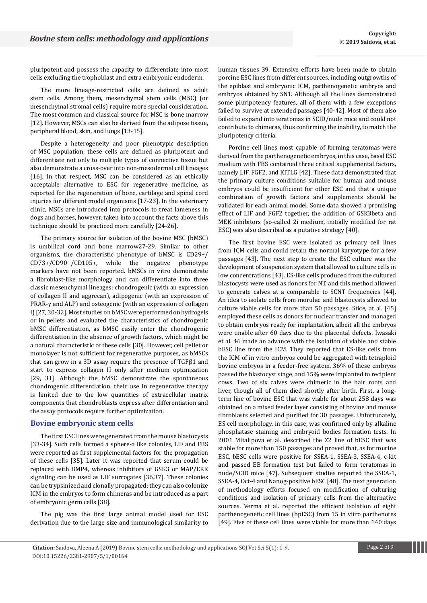pluripotent and possess the capacity to differentiate into most cells excluding the trophoblast and extra embryonic endoderm.

The more lineage-restricted cells are defined as adult stem cells. Among them, mesenchymal stem cells (MSC) (or mesenchymal stromal cells) require more special consideration. The most common and classical source for MSC is bone marrow [12]. However, MSCs can also be derived from the adipose tissue, peripheral blood, skin, and lungs [13-15].

Despite a heterogeneity and poor phenotypic description of MSC population, these cells are defined as pluripotent and differentiate not only to multiple types of connective tissue but also demonstrate a cross-over into non-mesodermal cell lineages [16]. In that respect, MSC can be considered as an ethically acceptable alternative to ESC for regenerative medicine, as reported for the regeneration of bone, cartilage and spinal cord injuries for different model organisms [17-23]. In the veterinary clinic, MSCs are introduced into protocols to treat lameness in dogs and horses, however, taken into account the facts above this technique should be practiced more carefully [24-26].

The primary source for isolation of the bovine MSC (bMSC) is umbilical cord and bone marrow27-29. Similar to other organisms, the characteristic phenotype of bMSC is CD29+/ CD73+/CD90+/CD105+, while the negative phenotype markers have not been reported. bMSCs in vitro demonstrate a fibroblast-like morphology and can differentiate into three classic mesenchymal lineages: chondrogenic (with an expression of collagen II and aggrecan), adipogenic (with an expression of PRAR-γ and ALP) and osteogenic (with an expression of collagen I) [27, 30-32]. Most studies on bMSC were performed on hydrogels or in pellets and evaluated the characteristics of chondrogenic bMSC differentiation, as bMSC easily enter the chondrogenic differentiation in the absence of growth factors, which might be a natural characteristic of these cells [30]. However, cell pellet or monolayer is not sufficient for regenerative purposes, as bMSCs that can grow in a 3D assay require the presence of TGFβ1 and start to express collagen II only after medium optimization [29, 31]. Although the bMSC demonstrate the spontaneous chondrogenic differentiation, their use in regenerative therapy is limited due to the low quantities of extracellular matrix components that chondroblasts express after differentiation and the assay protocols require further optimization.

#### **Bovine embryonic stem cells**

The first ESC lines were generated from the mouse blastocysts [33-34]. Such cells formed a sphere-a like colonies, LIF and FBS were reported as first supplemental factors for the propagation of these cells [35]. Later it was reported that serum could be replaced with BMP4, whereas inhibitors of GSK3 or MAP/ERK signaling can be used as LIF surrogates [36,37]. These colonies can be trypsinized and clonally propagated; they can also colonize ICM in the embryos to form chimeras and be introduced as a part of embryonic germ cells [38].

The pig was the first large animal model used for ESC derivation due to the large size and immunological similarity to human tissues 39. Extensive efforts have been made to obtain porcine ESC lines from different sources, including outgrowths of the epiblast and embryonic ICM, parthenogenetic embryos and embryos obtained by SNT. Although all the lines demonstrated some pluripotency features, all of them with a few exceptions failed to survive at extended passages [40-42]. Most of them also failed to expand into teratomas in SCID/nude mice and could not contribute to chimeras, thus confirming the inability, to match the pluripotency criteria.

Porcine cell lines most capable of forming teratomas were derived from the parthenogenetic embryos, in this case, basal ESC medium with FBS contained three critical supplemental factors, namely LIF, FGF2, and KITLG [42]. These data demonstrated that the primary culture conditions suitable for human and mouse embryos could be insufficient for other ESC and that a unique combination of growth factors and supplements should be validated for each animal model. Some data showed a promising effect of LIF and FGF2 together, the addition of GSK3beta and MEK inhibitors (so-called 2i medium, initially modified for rat ESC) was also described as a putative strategy [40].

The first bovine ESC were isolated as primary cell lines from ICM cells and could retain the normal karyotype for a few passages [43]. The next step to create the ESC culture was the development of suspension system that allowed to culture cells in low concentrations [43]. ES-like cells produced from the cultured blastocysts were used as donors for NT, and this method allowed to generate calves at a comparable to SCNT frequencies [44]. An idea to isolate cells from morulae and blastocysts allowed to culture viable cells for more than 50 passages. Stice, at al. [45] employed these cells as donors for nuclear transfer and managed to obtain embryos ready for implantation, albeit all the embryos were unable after 60 days due to the placental defects. Iwasaki et al. 46 made an advance with the isolation of viable and stable bESC line from the ICM. They reported that ES-like cells from the ICM of in vitro embryos could be aggregated with tetraploid bovine embryos in a feeder-free system. 36% of these embryos passed the blastocyst stage, and 15% were implanted to recipient cows. Two of six calves were chimeric in the hair roots and liver, though all of them died shortly after birth. First, a longterm line of bovine ESC that was viable for about 258 days was obtained on a mixed feeder layer consisting of bovine and mouse fibroblasts selected and purified for 30 passages. Unfortunately, ES cell morphology, in this case, was confirmed only by alkaline phosphatase staining and embryoid bodies formation tests. In 2001 Mitalipova et al. described the Z2 line of bESC that was stable for more than 150 passages and proved that, as for murine ESC, bESC cells were positive for SSEA-1, SSEA-3, SSEA-4, c-kit and passed EB formation test but failed to form teratomas in nude/SCID mice [47]. Subsequent studies reported the SSEA-1, SSEA-4, Oct-4 and Nanog-positive bESC [48]. The next generation of methodology efforts focused on modification of culturing conditions and isolation of primary cells from the alternative sources. Verma et al. reported the efficient isolation of eight parthenogenetic cell lines (bpESC) from 15 in vitro parthenotes [49]. Five of these cell lines were viable for more than 140 days

**Citation:** Saidova, Aleena A (2019) Bovine stem cells: methodology and applications SOJ Vet Sci 5(1): 1-9. Page 2 of 9 DOI:10.15226/2381-2907/5/1/00164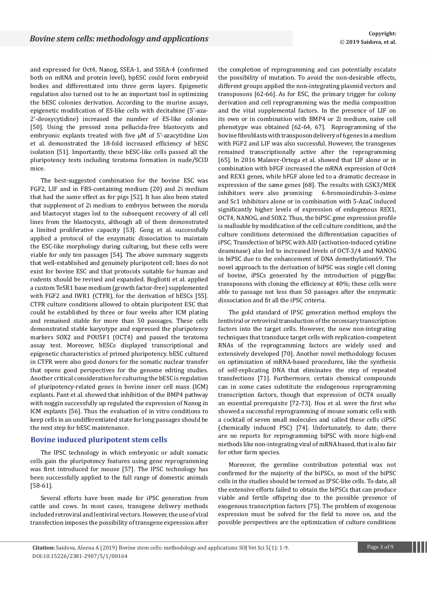and expressed for Oct4, Nanog, SSEA-1, and SSEA-4 (confirmed both on mRNA and protein level), bpESC could form embryoid bodies and differentiated into three germ layers. Epigenetic regulation also turned out to be an important tool in optimizing the bESC colonies derivation. According to the murine assays, epigenetic modification of ES-like cells with decitabine (5'-aza-2'-deoxycytidine) increased the number of ES-like colonies [50]. Using the pressed zona pellucida-free blastocysts and embryonic explants treated with five µM of 5'-azacytidine Lim et al. demonstrated the 18-fold increased efficiency of bESC isolation [51]. Importantly, these bESC-like cells passed all the pluripotency tests including teratoma formation in nude/SCID mice.

The best-suggested combination for the bovine ESC was FGF2, LIF and in FBS-containing medium (20) and 2i medium that had the same effect as for pigs [52]. It has also been stated that supplement of 2i medium to embryos between the morula and blastocyst stages led to the subsequent recovery of all cell lines from the blastocysts, although all of them demonstrated a limited proliferative capacity [53]. Gong et al. successfully applied a protocol of the enzymatic dissociation to maintain the ESC-like morphology during culturing, but these cells were viable for only ten passages [54]. The above summary suggests that well-established and genuinely pluripotent cell; lines do not exist for bovine ESC and that protocols suitable for human and rodents should be revised and expanded. Bogliotti et al. applied a custom TeSR1 base medium (growth factor-free) supplemented with FGF2 and IWR1 (CTFR), for the derivation of bESCs [55]. CTFR culture conditions allowed to obtain pluripotent ESC that could be established by three or four weeks after ICM plating and remained stable for more than 50 passages. These cells demonstrated stable karyotype and expressed the pluripotency markers SOX2 and POU5F1 (OCT4) and passed the teratoma assay test. Moreover, bESCs displayed transcriptional and epigenetic characteristics of primed pluripotency. bESC cultured in CTFR were also good donors for the somatic nuclear transfer that opens good perspectives for the genome editing studies. Another critical consideration for culturing the bESC is regulation of pluripotency-related genes in bovine inner cell mass (ICM) explants. Pant et al. showed that inhibition of the BMP4 pathway with noggin successfully up regulated the expression of Nanog in ICM explants [56]. Thus the evaluation of in vitro conditions to keep cells in an undifferentiated state for long passages should be the next step for bESC maintenance.

#### **Bovine induced pluripotent stem cells**

The IPSC technology in which embryonic or adult somatic cells gain the pluripotency features using gene reprogramming was first introduced for mouse [57]. The IPSC technology has been successfully applied to the full range of domestic animals [58-61].

Several efforts have been made for iPSC generation from cattle and cows. In most cases, transgene delivery methods included retroviral and lentiviral vectors. However, the use of viral transfection imposes the possibility of transgene expression after

the completion of reprogramming and can potentially escalate the possibility of mutation. To avoid the non-desirable effects, different groups applied the non-integrating plasmid vectors and transposons [62-66]. As for ESC, the primary trigger for colony derivation and cell reprogramming was the media composition and the vital supplemental factors. In the presence of LIF on its own or in combination with BMP4 or 2i medium, naïve cell phenotype was obtained [62-64, 67]. Reprogramming of the bovine fibroblasts with transposon delivery of 6 genes in a medium with FGF2 and LIF was also successful. However, the transgenes remained transcriptionally active after the reprogramming [65]. In 2016 Malaver-Ortega et al. showed that LIF alone or in combination with bFGF increased the mRNA expression of Oct4 and REX1 genes, while bFGF alone led to a dramatic decrease in expression of the same genes [68]. The results with GSK3/MEK inhibitors were also promising: 6-bromoindirubin-3-oxime and Sc1 inhibitors alone or in combination with 5-AzaC induced significantly higher levels of expression of endogenous REX1, OCT4, NANOG, and SOX2. Thus, the biPSC gene expression profile is malleable by modification of the cell culture conditions, and the culture conditions determined the differentiation capacities of iPSC. Transfection of biPSC with AID (activation-induced cytidine deaminase) also led to increased levels of OCT-3/4 and NANOG in biPSC due to the enhancement of DNA demethylation69. The novel approach to the derivation of biPSC was single cell cloning of bovine, iPSCs generated by the introduction of piggyBac transposons with cloning the efficiency at 40%; these cells were able to passage not less than 50 passages after the enzymatic dissociation and fit all the iPSC criteria.

The gold standard of IPSC generation method employs the lentiviral or retroviral transduction of the necessary transcription factors into the target cells. However, the new non-integrating techniques that transduce target cells with replication-competent RNAs of the reprogramming factors are widely used and extensively developed [70]. Another novel methodology focuses on optimization of mRNA-based procedures, like the synthesis of self-replicating DNA that eliminates the step of repeated transfections [71]. Furthermore, certain chemical compounds can in some cases substitute the endogenous reprogramming transcription factors, though that expression of OCT4 usually an essential prerequisite [72-73]. Hou et al. were the first who showed a successful reprogramming of mouse somatic cells with a cocktail of seven small molecules and called these cells ciPSC (chemically induced PSC) [74]. Unfortunately, to date, there are no reports for reprogramming biPSC with more high-end methods like non-integrating viral of mRNA based, that is also fair for other farm species.

Moreover, the germline contribution potential was not confirmed for the majority of the biPSCs, so most of the biPSC cells in the studies should be termed as IPSC-like cells. To date, all the extensive efforts failed to obtain the biPSCs that can produce viable and fertile offspring due to the possible presence of exogenous transcription factors [75]. The problem of exogenous expression must be solved for the field to move on, and the possible perspectives are the optimization of culture conditions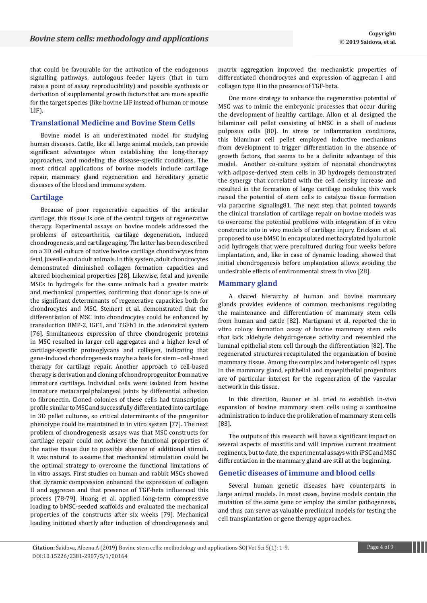that could be favourable for the activation of the endogenous signalling pathways, autologous feeder layers (that in turn raise a point of assay reproducibility) and possible synthesis or derivation of supplemental growth factors that are more specific for the target species (like bovine LIF instead of human or mouse LIF).

## **Translational Medicine and Bovine Stem Cells**

Bovine model is an underestimated model for studying human diseases. Cattle, like all large animal models, can provide significant advantages when establishing the long-therapy approaches, and modeling the disease-specific conditions. The most critical applications of bovine models include cartilage repair, mammary gland regeneration and hereditary genetic diseases of the blood and immune system.

#### **Cartilage**

Because of poor regenerative capacities of the articular cartilage, this tissue is one of the central targets of regenerative therapy. Experimental assays on bovine models addressed the problems of osteoarthritis, cartilage degeneration, induced chondrogenesis, and cartilage aging. The latter has been described on a 3D cell culture of native bovine cartilage chondrocytes from fetal, juvenile and adult animals. In this system, adult chondrocytes demonstrated diminished collagen formation capacities and altered biochemical properties [28]. Likewise, fetal and juvenile MSCs in hydrogels for the same animals had a greater matrix and mechanical properties, confirming that donor age is one of the significant determinants of regenerative capacities both for chondrocytes and MSC. Steinert et al. demonstrated that the differentiation of MSC into chondrocytes could be enhanced by transduction BMP-2, IGF1, and TGFb1 in the adenoviral system [76]. Simultaneous expression of three chondrogenic proteins in MSC resulted in larger cell aggregates and a higher level of cartilage-specific proteoglycans and collagen, indicating that gene-induced chondrogenesis may be a basis for stem –cell-based therapy for cartilage repair. Another approach to cell-based therapy is derivation and cloning of chondroprogenitor from native immature cartilage. Individual cells were isolated from bovine immature metacarpalphalangeal joints by differential adhesion to fibronectin. Cloned colonies of these cells had transcription profile similar to MSC and successfully differentiated into cartilage in 3D pellet cultures, so critical determinants of the progenitor phenotype could be maintained in in vitro system [77]. The next problem of chondrogenesis assays was that MSC constructs for cartilage repair could not achieve the functional properties of the native tissue due to possible absence of additional stimuli. It was natural to assume that mechanical stimulation could be the optimal strategy to overcome the functional limitations of in vitro assays. First studies on human and rabbit MSCs showed that dynamic compression enhanced the expression of collagen II and aggrecan and that presence of TGF-beta influenced this process [78-79]. Huang et al. applied long-term compressive loading to bMSC-seeded scaffolds and evaluated the mechanical properties of the constructs after six weeks [79]. Mechanical loading initiated shortly after induction of chondrogenesis and

matrix aggregation improved the mechanistic properties of differentiated chondrocytes and expression of aggrecan I and collagen type II in the presence of TGF-beta.

One more strategy to enhance the regenerative potential of MSC was to mimic the embryonic processes that occur during the development of healthy cartilage. Allon et al. designed the bilaminar cell pellet consisting of bMSC in a shell of nucleus pulposus cells [80]. In stress or inflammation conditions, this bilaminar cell pellet employed inductive mechanisms from development to trigger differentiation in the absence of growth factors, that seems to be a definite advantage of this model. Another co-culture system of neonatal chondrocytes with adipose-derived stem cells in 3D hydrogels demonstrated the synergy that correlated with the cell density increase and resulted in the formation of large cartilage nodules; this work raised the potential of stem cells to catalyze tissue formation via paracrine signaling81. The next step that pointed towards the clinical translation of cartilage repair on bovine models was to overcome the potential problems with integration of in vitro constructs into in vivo models of cartilage injury. Erickson et al. proposed to use bMSC in encapsulated methacrylated hyaluronic acid hydrogels that were precultured during four weeks before implantation, and, like in case of dynamic loading, showed that initial chondrogenesis before implantation allows avoiding the undesirable effects of environmental stress in vivo [28].

#### **Mammary gland**

A shared hierarchy of human and bovine mammary glands provides evidence of common mechanisms regulating the maintenance and differentiation of mammary stem cells from human and cattle [82]. Martignani et al. reported the in vitro colony formation assay of bovine mammary stem cells that lack aldehyde dehydrogenase activity and resembled the luminal epithelial stem cell through the differentiation [82]. The regenerated structures recapitulated the organization of bovine mammary tissue. Among the complex and heterogenic cell types in the mammary gland, epithelial and myoepithelial progenitors are of particular interest for the regeneration of the vascular network in this tissue.

In this direction, Rauner et al. tried to establish in-vivo expansion of bovine mammary stem cells using a xanthosine administration to induce the proliferation of mammary stem cells [83].

The outputs of this research will have a significant impact on several aspects of mastitis and will improve current treatment regiments, but to date, the experimental assays with iPSC and MSC differentiation in the mammary gland are still at the beginning.

## **Genetic diseases of immune and blood cells**

Several human genetic diseases have counterparts in large animal models. In most cases, bovine models contain the mutation of the same gene or employ the similar pathogenesis, and thus can serve as valuable preclinical models for testing the cell transplantation or gene therapy approaches.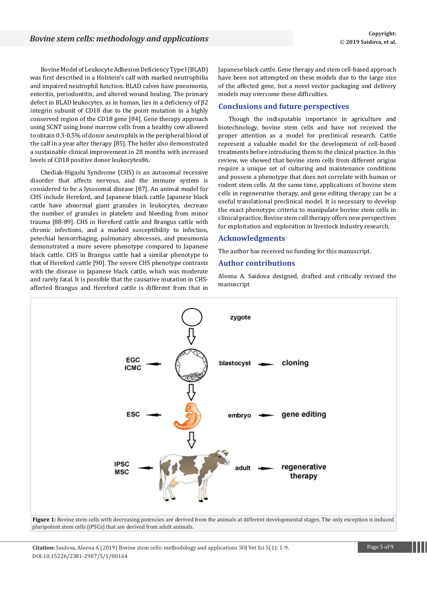Bovine Model of Leukocyte Adhesion Deficiency Type I (BLAD) was first described in a Holstein's calf with marked neutrophilia and impaired neutrophil function. BLAD calves have pneumonia, enteritis, periodontitis, and altered wound healing. The primary defect in BLAD leukocytes, as in human, lies in a deficiency of β2 integrin subunit of CD18 due to the point mutation in a highly conserved region of the CD18 gene [84]. Gene therapy approach using SCNT using bone marrow cells from a healthy cow allowed to obtain 0.3-0.5% of donor neutrophils in the peripheral blood of the calf in a year after therapy [85]. The heifer also demonstrated a sustainable clinical improvement in 28 months with increased levels of CD18 positive donor leukocytes86.

Chediak-Higashi Syndrome (CHS) is an autosomal recessive disorder that affects nervous, and the immune system is considered to be a lysosomal disease [87]. An animal model for CHS include Hereford, and Japanese black cattle Japanese black cattle have abnormal giant granules in leukocytes, decrease the number of granules in platelets and bleeding from minor trauma [88-89]. CHS in Hereford cattle and Brangus cattle with chronic infections, and a marked susceptibility to infection, petechial hemorrhaging, pulmonary abscesses, and pneumonia demonstrated a more severe phenotype compared to Japanese black cattle. CHS in Brangus cattle had a similar phenotype to that of Hereford cattle [90]. The severe CHS phenotype contrasts with the disease in Japanese black cattle, which was moderate and rarely fatal. It is possible that the causative mutation in CHSaffected Brangus and Hereford cattle is different from that in Japanese black cattle. Gene therapy and stem cell-based approach have been not attempted on these models due to the large size of the affected gene, but a novel vector packaging and delivery models may overcome these difficulties.

## **Conclusions and future perspectives**

Though the indisputable importance in agriculture and biotechnology, bovine stem cells and have not received the proper attention as a model for preclinical research. Cattle represent a valuable model for the development of cell-based treatments before introducing them to the clinical practice. In this review, we showed that bovine stem cells from different origins require a unique set of culturing and maintenance conditions and possess a phenotype that does not correlate with human or rodent stem cells. At the same time, applications of bovine stem cells in regenerative therapy, and gene editing therapy can be a useful translational preclinical model. It is necessary to develop the exact phenotype criteria to manipulate bovine stem cells in clinical practice. Bovine stem cell therapy offers new perspectives for exploitation and exploration in livestock industry research.

#### **Acknowledgments**

The author has received no funding for this manuscript.

# **Author contributions**

Aleena A. Saidova designed, drafted and critically revised the manuscript



Figure 1: Bovine stem cells with decreasing potencies are derived from the animals at different developmental stages. The only exception is induced pluripotent stem cells (iPSCs) that are derived from adult animals.

**Citation:** Saidova, Aleena A (2019) Bovine stem cells: methodology and applications SOJ Vet Sci 5(1): 1-9. Page 5 of 9 DOI:10.15226/2381-2907/5/1/00164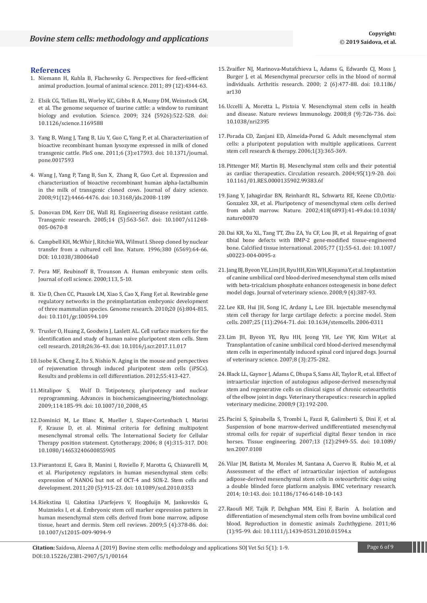# **References**

- 1. [Niemann H, Kuhla B, Flachowsky G. Perspectives for feed-efficient](https://academic.oup.com/jas/article/89/12/4344/4772114)  [animal production. Journal of animal science. 2011; 89 \(12\):4344-63.](https://academic.oup.com/jas/article/89/12/4344/4772114)
- 2. [Elsik CG, Tellam RL, Worley KC, Gibbs R A, Muzny DM, Weinstock GM,](https://www.ncbi.nlm.nih.gov/pmc/articles/PMC2943200/)  [et al. The genome sequence of taurine cattle: a window to ruminant](https://www.ncbi.nlm.nih.gov/pmc/articles/PMC2943200/)  [biology and evolution. Science. 2009;](https://www.ncbi.nlm.nih.gov/pmc/articles/PMC2943200/) 324 (5926):522-528. doi: [10.1126/science.1169588](https://www.ncbi.nlm.nih.gov/pmc/articles/PMC2943200/)
- 3. [Yang B, Wang J, Tang B, Liu Y, Guo C, Yang P, et al. Characterization of](https://www.ncbi.nlm.nih.gov/pubmed/21436886)  [bioactive recombinant human lysozyme expressed in milk of cloned](https://www.ncbi.nlm.nih.gov/pubmed/21436886)  [transgenic cattle. PloS one. 2011;6 \(3\):e17593. doi: 10.1371/journal.](https://www.ncbi.nlm.nih.gov/pubmed/21436886) [pone.0017593](https://www.ncbi.nlm.nih.gov/pubmed/21436886)
- 4. [Wang J, Yang P, Tang B, Sun X, Zhang R, Guo C,et al. Expression and](https://www.ncbi.nlm.nih.gov/pubmed/19038921)  [characterization of bioactive recombinant human alpha-lactalbumin](https://www.ncbi.nlm.nih.gov/pubmed/19038921)  [in the milk of transgenic cloned cows. Journal of dairy science.](https://www.ncbi.nlm.nih.gov/pubmed/19038921)  [2008;91\(12\):4466-4476. doi: 10.3168/jds.2008-1189](https://www.ncbi.nlm.nih.gov/pubmed/19038921)
- 5. [Donovan DM, Kerr DE, Wall RJ. Engineering disease resistant cattle.](https://www.ncbi.nlm.nih.gov/pubmed/16245147)  [Transgenic research. 2005;14 \(5\):563-567. doi: 10.1007/s11248-](https://www.ncbi.nlm.nih.gov/pubmed/16245147) [005-0670-8](https://www.ncbi.nlm.nih.gov/pubmed/16245147)
- 6. [Campbell KH, McWhir J, Ritchie WA, Wilmut I. Sheep cloned by nuclear](https://www.ncbi.nlm.nih.gov/pubmed/8598906)  [transfer from a cultured cell line. Nature. 1996;380 \(6569\):64-66.](https://www.ncbi.nlm.nih.gov/pubmed/8598906)  [DOI: 10.1038/380064a0](https://www.ncbi.nlm.nih.gov/pubmed/8598906)
- 7. [Pera MF, Reubinoff B, Trounson A. Human embryonic stem cells.](http://citeseerx.ist.psu.edu/viewdoc/download?doi=10.1.1.916.5358&rep=rep1&type=pdf)  [Journal of cell science. 2000;113, 5-10.](http://citeseerx.ist.psu.edu/viewdoc/download?doi=10.1.1.916.5358&rep=rep1&type=pdf)
- 8. [Xie D, Chen CC, Ptaszek LM, Xiao S, Cao X, Fang F,et al. Rewirable gene](https://www.ncbi.nlm.nih.gov/pubmed/20219939)  [regulatory networks in the preimplantation embryonic development](https://www.ncbi.nlm.nih.gov/pubmed/20219939)  [of three mammalian species. Genome research. 2010](https://www.ncbi.nlm.nih.gov/pubmed/20219939)**;**20 (6):804-815. [doi: 10.1101/gr.100594.109](https://www.ncbi.nlm.nih.gov/pubmed/20219939)
- 9. [Trusler O, Huang Z, Goodwin J, Laslett AL. Cell surface markers for the](https://www.ncbi.nlm.nih.gov/pubmed/29227830)  [identification and study of human naive pluripotent stem cells. Stem](https://www.ncbi.nlm.nih.gov/pubmed/29227830)  cell research. 2018**;**[26:36-43. doi: 10.1016/j.scr.2017.11.017](https://www.ncbi.nlm.nih.gov/pubmed/29227830)
- 10.[Isobe K, Cheng Z, Ito S, Nishio N. Aging in the mouse and perspectives](https://link.springer.com/chapter/10.1007/978-3-642-30406-4_21)  [of rejuvenation through induced pluripotent stem cells \(iPSCs\).](https://link.springer.com/chapter/10.1007/978-3-642-30406-4_21)  [Results and problems in cell differentiation. 2012;55:413-427.](https://link.springer.com/chapter/10.1007/978-3-642-30406-4_21)
- 11.[Mitalipov S, Wolf D. Totipotency, pluripotency and nuclear](https://www.ncbi.nlm.nih.gov/pubmed/19343304)  [reprogramming. Advances in biochemicaengineering/biotechnology.](https://www.ncbi.nlm.nih.gov/pubmed/19343304)  [2009;114:185-99. doi: 10.1007/10\\_2008\\_45](https://www.ncbi.nlm.nih.gov/pubmed/19343304)
- 12.[Dominici M, Le Blanc K, Mueller I, Slaper-Cortenbach I, Marini](https://www.ncbi.nlm.nih.gov/pubmed/16923606)  [F, Krause D, et al. Minimal criteria for defining multipotent](https://www.ncbi.nlm.nih.gov/pubmed/16923606)  [mesenchymal stromal cells. The International Society for Cellular](https://www.ncbi.nlm.nih.gov/pubmed/16923606)  [Therapy position statement. Cytotherapy. 2006; 8 \(4\):315-317. DOI:](https://www.ncbi.nlm.nih.gov/pubmed/16923606)  [10.1080/14653240600855905](https://www.ncbi.nlm.nih.gov/pubmed/16923606)
- 13.[Pierantozzi E, Gava B, Manini I, Roviello F, Marotta G, Chiavarelli M,](https://www.ncbi.nlm.nih.gov/pubmed/20879854)  [et al. Pluripotency regulators in human mesenchymal stem cells:](https://www.ncbi.nlm.nih.gov/pubmed/20879854)  [expression of NANOG but not of OCT-4 and SOX-2. Stem cells and](https://www.ncbi.nlm.nih.gov/pubmed/20879854)  [development. 2011;20 \(5\):915-23. doi: 10.1089/scd.2010.0353](https://www.ncbi.nlm.nih.gov/pubmed/20879854)
- 14.[Riekstina U, Cakstina I,Parfejevs V, Hoogduijn M, Jankovskis G,](https://www.ncbi.nlm.nih.gov/pubmed/20058201)  [Muiznieks I, et al. Embryonic stem cell marker expression pattern in](https://www.ncbi.nlm.nih.gov/pubmed/20058201)  [human mesenchymal stem cells derived from bone marrow, adipose](https://www.ncbi.nlm.nih.gov/pubmed/20058201)  [tissue, heart and dermis. Stem cell reviews. 2009;5 \(4\):378-86. doi:](https://www.ncbi.nlm.nih.gov/pubmed/20058201)  [10.1007/s12015-009-9094-9](https://www.ncbi.nlm.nih.gov/pubmed/20058201)
- 15.[Zvaifler NJ, Marinova-Mutafchieva L, Adams G, Edwards CJ, Moss J,](https://www.ncbi.nlm.nih.gov/pubmed/11056678)  [Burger J, et al. Mesenchymal precursor cells in the blood of normal](https://www.ncbi.nlm.nih.gov/pubmed/11056678)  [individuals. Arthritis research. 2000; 2 \(6\):477-88. doi: 10.1186/](https://www.ncbi.nlm.nih.gov/pubmed/11056678) [ar130](https://www.ncbi.nlm.nih.gov/pubmed/11056678)
- 16.[Uccelli A, Moretta L, Pistoia V. Mesenchymal stem cells in health](https://www.ncbi.nlm.nih.gov/pubmed/19172693)  [and disease. Nature reviews Immunology. 2008;8 \(9\):726-736. doi:](https://www.ncbi.nlm.nih.gov/pubmed/19172693)  [10.1038/nri2395](https://www.ncbi.nlm.nih.gov/pubmed/19172693)
- 17.[Porada CD, Zanjani ED, Almeida-Porad G. Adult mesenchymal stem](https://www.ncbi.nlm.nih.gov/pubmed/18220880)  [cells: a pluripotent population with multiple applications. Current](https://www.ncbi.nlm.nih.gov/pubmed/18220880)  [stem cell research & therapy. 2006;1\(3\):365-369.](https://www.ncbi.nlm.nih.gov/pubmed/18220880)
- 18.[Pittenger MF, Martin BJ. Mesenchymal stem cells and their potential](https://www.ncbi.nlm.nih.gov/pubmed/15242981)  [as cardiac therapeutics. Circulation research. 2004;95\(1\):9-20. doi:](https://www.ncbi.nlm.nih.gov/pubmed/15242981)  [10.1161/01.RES.0000135902.99383.6f](https://www.ncbi.nlm.nih.gov/pubmed/15242981)
- 19.[Jiang Y, Jahagirdar BN, Reinhardt RL, Schwartz RE, Keene CD,Ortiz-](https://www.ncbi.nlm.nih.gov/pubmed/12077603)[Gonzalez XR, et al. Pluripotency of mesenchymal stem cells derived](https://www.ncbi.nlm.nih.gov/pubmed/12077603)  [from adult marrow. Nature. 2002;418\(6893\):41-49.doi:10.1038/](https://www.ncbi.nlm.nih.gov/pubmed/12077603) [nature00870](https://www.ncbi.nlm.nih.gov/pubmed/12077603)
- 20.[Dai KR, Xu XL, Tang TT, Zhu ZA, Yu CF, Lou JR, et al. Repairing of goat](https://www.ncbi.nlm.nih.gov/pubmed/16007479)  [tibial bone defects with BMP-2 gene-modified tissue-engineered](https://www.ncbi.nlm.nih.gov/pubmed/16007479)  [bone. Calcified tissue international. 2005;77 \(1\):55-61. doi: 10.1007/](https://www.ncbi.nlm.nih.gov/pubmed/16007479) [s00223-004-0095-z](https://www.ncbi.nlm.nih.gov/pubmed/16007479)
- 21.[Jang BJ, Byeon YE, Lim JH, Ryu HH, Kim WH, Koyama Y, et al. Implantation](https://www.ncbi.nlm.nih.gov/pubmed/19043314)  [of canine umbilical cord blood-derived mesenchymal stem cells mixed](https://www.ncbi.nlm.nih.gov/pubmed/19043314)  [with beta-tricalcium phosphate enhances osteogenesis in bone defect](https://www.ncbi.nlm.nih.gov/pubmed/19043314)  [model dogs. Journal of veterinary science. 2008;9 \(4\):387-93.](https://www.ncbi.nlm.nih.gov/pubmed/19043314)
- 22.[Lee KB, Hui JH, Song IC, Ardany L, Lee EH. Injectable mesenchymal](https://www.ncbi.nlm.nih.gov/pubmed/17656639)  [stem cell therapy for large cartilage defects: a porcine model. Stem](https://www.ncbi.nlm.nih.gov/pubmed/17656639)  [cells. 2007;25 \(11\):2964-71. doi: 10.1634/stemcells. 2006-0311](https://www.ncbi.nlm.nih.gov/pubmed/17656639)
- 23.[Lim JH, Byeon YE, Ryu HH, Jeong YH, Lee YW, Kim WH,et al.](https://www.ncbi.nlm.nih.gov/pubmed/17679775)  [Transplantation of canine umbilical cord blood-derived mesenchymal](https://www.ncbi.nlm.nih.gov/pubmed/17679775)  [stem cells in experimentally induced spinal cord injured dogs. Journal](https://www.ncbi.nlm.nih.gov/pubmed/17679775)  [of veterinary science. 2007;8 \(3\):275-282.](https://www.ncbi.nlm.nih.gov/pubmed/17679775)
- 24.[Black LL, Gaynor J, Adams C, Dhupa S, Sams AE, Taylor R, et al. Effect of](https://www.ncbi.nlm.nih.gov/pubmed/19003780)  [intraarticular injection of autologous adipose-derived mesenchymal](https://www.ncbi.nlm.nih.gov/pubmed/19003780)  [stem and regenerative cells on clinical signs of chronic osteoarthritis](https://www.ncbi.nlm.nih.gov/pubmed/19003780)  [of the elbow joint in dogs. Veterinary therapeutics : research in applied](https://www.ncbi.nlm.nih.gov/pubmed/19003780)  [veterinary medicine. 2008;9 \(3\):192-200.](https://www.ncbi.nlm.nih.gov/pubmed/19003780)
- 25.[Pacini S, Spinabella S, Trombi L, Fazzi R, Galimberti S, Dini F, et al.](https://www.ncbi.nlm.nih.gov/pubmed/17919069)  [Suspension of bone marrow-derived undifferentiated mesenchymal](https://www.ncbi.nlm.nih.gov/pubmed/17919069)  [stromal cells for repair of superficial digital flexor tendon in race](https://www.ncbi.nlm.nih.gov/pubmed/17919069)  [horses. Tissue engineering. 2007;13 \(12\):2949-55. doi: 10.1089/](https://www.ncbi.nlm.nih.gov/pubmed/17919069) [ten.2007.0108](https://www.ncbi.nlm.nih.gov/pubmed/17919069)
- 26.[Vilar JM, Batista M, Morales M, Santana A, Cuervo B, Rubio M, et al.](https://www.ncbi.nlm.nih.gov/pmc/articles/PMC4085658/)  [Assessment of the effect of intraarticular injection of autologous](https://www.ncbi.nlm.nih.gov/pmc/articles/PMC4085658/)  [adipose-derived mesenchymal stem cells in osteoarthritic dogs using](https://www.ncbi.nlm.nih.gov/pmc/articles/PMC4085658/)  [a double blinded force platform analysis. BMC veterinary research.](https://www.ncbi.nlm.nih.gov/pmc/articles/PMC4085658/)  [2014; 10:143. doi: 10.1186/1746-6148-10-143](https://www.ncbi.nlm.nih.gov/pmc/articles/PMC4085658/)
- 27.[Raoufi MF, Tajik P, Dehghan MM, Eini F, Barin A. Isolation and](https://www.ncbi.nlm.nih.gov/pubmed/20345587)  [differentiation of mesenchymal stem cells from bovine umbilical cord](https://www.ncbi.nlm.nih.gov/pubmed/20345587)  [blood. Reproduction in domestic animals Zuchthygiene. 2011;46](https://www.ncbi.nlm.nih.gov/pubmed/20345587)  [\(1\):95-99. doi: 10.1111/j.1439-0531.2010.01594.x](https://www.ncbi.nlm.nih.gov/pubmed/20345587)

**Citation:** Saidova, Aleena A (2019) Bovine stem cells: methodology and applications SOJ Vet Sci 5(1): 1-9. Page 6 of 9 DOI:10.15226/2381-2907/5/1/00164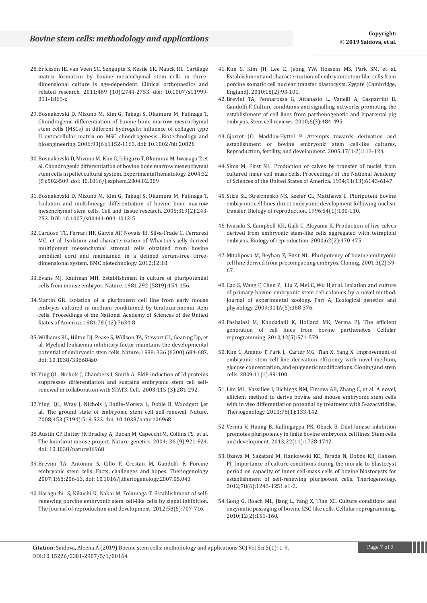- 28.[Erickson IE, van Veen SC, Sengupta S, Kestle SR, Mauck RL. Cartilage](https://www.ncbi.nlm.nih.gov/pubmed/21424832)  [matrix formation by bovine mesenchymal stem cells in three](https://www.ncbi.nlm.nih.gov/pubmed/21424832)[dimensional culture is age-dependent. Clinical orthopaedics and](https://www.ncbi.nlm.nih.gov/pubmed/21424832)  [related research. 2011;469 \(10\):2744-2753. doi: 10.1007/s11999-](https://www.ncbi.nlm.nih.gov/pubmed/21424832) [011-1869-z](https://www.ncbi.nlm.nih.gov/pubmed/21424832)
- 29.[Bosnakovski D, Mizuno M, Kim G, Takagi S, Okumura M, Fujinaga T.](https://www.ncbi.nlm.nih.gov/pubmed/16470881)  [Chondrogenic differentiation of bovine bone marrow mesenchymal](https://www.ncbi.nlm.nih.gov/pubmed/16470881)  [stem cells \(MSCs\) in different hydrogels: influence of collagen type](https://www.ncbi.nlm.nih.gov/pubmed/16470881)  [II extracellular matrix on MSC chondrogenesis. Biotechnology and](https://www.ncbi.nlm.nih.gov/pubmed/16470881)  [bioengineering. 2006;93\(6\):1152-1163.](https://www.ncbi.nlm.nih.gov/pubmed/16470881) doi: 10.1002/bit.20828
- 30.[Bosnakovski D, Mizuno M, Kim G, Ishiguro T, Okumura M, Iwanaga T, et](https://www.ncbi.nlm.nih.gov/pubmed/15145219)  [al. Chondrogenic differentiation of bovine bone marrow mesenchymal](https://www.ncbi.nlm.nih.gov/pubmed/15145219)  [stem cells in pellet cultural system. Experimental hematology. 2004;32](https://www.ncbi.nlm.nih.gov/pubmed/15145219)  [\(5\):502-509. doi: 10.1016/j.exphem.2004.02.009](https://www.ncbi.nlm.nih.gov/pubmed/15145219)
- 31.[Bosnakovski D, Mizuno M, Kim G, Takagi S, Okumura M, Fujinaga T.](https://www.ncbi.nlm.nih.gov/pubmed/15654654)  [Isolation and multilineage differentiation of bovine bone marrow](https://www.ncbi.nlm.nih.gov/pubmed/15654654)  [mesenchymal stem cells. Cell and tissue research. 2005](https://www.ncbi.nlm.nih.gov/pubmed/15654654)**;**319(2):243- [253. DOI: 10.1007/s00441-004-1012-5](https://www.ncbi.nlm.nih.gov/pubmed/15654654)
- 32.[Cardoso TC, Ferrari HF, Garcia AF, Novais JB, Silva-Frade C, Ferrarezi](https://bmcbiotechnol.biomedcentral.com/articles/10.1186/1472-6750-12-18)  [MC, et al. Isolation and characterization of Wharton's jelly-derived](https://bmcbiotechnol.biomedcentral.com/articles/10.1186/1472-6750-12-18)  [multipotent mesenchymal stromal cells obtained from bovine](https://bmcbiotechnol.biomedcentral.com/articles/10.1186/1472-6750-12-18)  [umbilical cord and maintained in a defined serum-free three](https://bmcbiotechnol.biomedcentral.com/articles/10.1186/1472-6750-12-18)[dimensional system. BMC biotechnology. 2012;12:18.](https://bmcbiotechnol.biomedcentral.com/articles/10.1186/1472-6750-12-18)
- 33.[Evans MJ, Kaufman MH. Establishment in culture of pluripotential](https://www.ncbi.nlm.nih.gov/pubmed/7242681)  [cells from mouse embryos. Nature. 1981;292 \(5819\):154-156.](https://www.ncbi.nlm.nih.gov/pubmed/7242681)
- 34.[Martin GR. Isolation of a pluripotent cell line from early mouse](https://www.ncbi.nlm.nih.gov/pubmed/6950406)  [embryos cultured in medium conditioned by teratocarcinoma stem](https://www.ncbi.nlm.nih.gov/pubmed/6950406)  [cells. Proceedings of the National Academy of Sciences of the United](https://www.ncbi.nlm.nih.gov/pubmed/6950406)  [States of America. 1981;78 \(12\):7634-8.](https://www.ncbi.nlm.nih.gov/pubmed/6950406)
- 35.[Williams RL, Hilton DJ, Pease S, Willson TA, Stewart CL, Gearing Dp, et](https://www.ncbi.nlm.nih.gov/pubmed/3143916)  [al. Myeloid leukaemia inhibitory factor maintains the developmental](https://www.ncbi.nlm.nih.gov/pubmed/3143916)  [potential of embryonic stem cells. Nature. 1988: 336 \(6200\):684-687.](https://www.ncbi.nlm.nih.gov/pubmed/3143916)  [doi: 10.1038/336684a0](https://www.ncbi.nlm.nih.gov/pubmed/3143916)
- 36.[Ying QL, Nichols J, Chambers I, Smith A. BMP induction of Id proteins](https://www.ncbi.nlm.nih.gov/pubmed/14636556)  [suppresses differentiation and sustains embryonic stem cell self](https://www.ncbi.nlm.nih.gov/pubmed/14636556)[renewal in collaboration with STAT3. Cell. 2003;115 \(3\):281-292.](https://www.ncbi.nlm.nih.gov/pubmed/14636556)
- 37.[Ying QL, Wray J, Nichols J, Batlle-Morera L, Doble B, Woodgett J,et](https://www.ncbi.nlm.nih.gov/pubmed/18497825)  [al. The ground state of embryonic stem cell self-renewal. Nature.](https://www.ncbi.nlm.nih.gov/pubmed/18497825)  [2008;453 \(7194\):519-523. doi: 10.1038/nature06968](https://www.ncbi.nlm.nih.gov/pubmed/18497825)
- 38.[Austin CP, Battey JF, Bradley A, Bucan M, Capecchi M, Collins FS, et al.](https://www.ncbi.nlm.nih.gov/pubmed/18497825)  [The knockout mouse project. Nature genetics. 2004](https://www.ncbi.nlm.nih.gov/pubmed/18497825)**;** 36 (9):921-924. [doi: 10.1038/nature06968](https://www.ncbi.nlm.nih.gov/pubmed/18497825)
- 39.[Brevini TA, Antonini S, Cillo F, Crestan M, Gandolfi F. Porcine](https://www.ncbi.nlm.nih.gov/pubmed/17582486)  [embryonic stem cells: Facts, challenges and hopes. Theriogenology](https://www.ncbi.nlm.nih.gov/pubmed/17582486)  [2007;1;68:206-13. doi: 10.1016/j.theriogenology.2007.05.043](https://www.ncbi.nlm.nih.gov/pubmed/17582486)
- 40.[Haraguchi S, Kikuchi K, Nakai M, Tokunaga T. Establishment of self](https://www.ncbi.nlm.nih.gov/pubmed/22972236)[renewing porcine embryonic stem cell-like cells by signal inhibition.](https://www.ncbi.nlm.nih.gov/pubmed/22972236)  [The Journal of reproduction and development. 2012;58\(6\):707-716.](https://www.ncbi.nlm.nih.gov/pubmed/22972236)
- 41.[Kim S, Kim JH, Lee E, Jeong YW, Hossein MS, Park SM, et al.](https://www.cambridge.org/core/journals/zygote/article/establishment-and-characterization-of-embryonic-stemlike-cells-from-porcine-somatic-cell-nuclear-transfer-blastocysts/AE37AA3E23ADE4C6ABCD5641EE10EB82)  [Establishment and characterization of embryonic stem-like cells from](https://www.cambridge.org/core/journals/zygote/article/establishment-and-characterization-of-embryonic-stemlike-cells-from-porcine-somatic-cell-nuclear-transfer-blastocysts/AE37AA3E23ADE4C6ABCD5641EE10EB82)  [porcine somatic cell nuclear transfer blastocysts. Zygote \(Cambridge,](https://www.cambridge.org/core/journals/zygote/article/establishment-and-characterization-of-embryonic-stemlike-cells-from-porcine-somatic-cell-nuclear-transfer-blastocysts/AE37AA3E23ADE4C6ABCD5641EE10EB82)  [England\). 2010;18\(2\):93-101.](https://www.cambridge.org/core/journals/zygote/article/establishment-and-characterization-of-embryonic-stemlike-cells-from-porcine-somatic-cell-nuclear-transfer-blastocysts/AE37AA3E23ADE4C6ABCD5641EE10EB82)
- 42.[Brevini TA, Pennarossa G, Attanasio L, Vanelli A, Gasparrini B,](https://link.springer.com/article/10.1007/s12015-010-9153-2)  [Gandolfi F. Culture conditions and signalling networks promoting the](https://link.springer.com/article/10.1007/s12015-010-9153-2)  [establishment of cell lines from parthenogenetic and biparental pig](https://link.springer.com/article/10.1007/s12015-010-9153-2)  [embryos. Stem cell reviews. 2010;6\(3\):484-495.](https://link.springer.com/article/10.1007/s12015-010-9153-2)
- 43.[Gjorret JO, Maddox-Hyttel P. Attempts towards derivation and](http://www.publish.csiro.au/RD/RD04117)  [establishment of bovine embryonic stem cell-like cultures.](http://www.publish.csiro.au/RD/RD04117)  [Reproduction, fertility, and development. 2005;17\(1-2\):113-124.](http://www.publish.csiro.au/RD/RD04117)
- 44.[Sims M, First NL. Production of calves by transfer of nuclei from](https://www.pnas.org/content/91/13/6143.short)  [cultured inner cell mass cells. Proceedings of the National Academy](https://www.pnas.org/content/91/13/6143.short)  [of Sciences of the United States of America. 1994;91\(13\):6143-6147.](https://www.pnas.org/content/91/13/6143.short)
- 45.[Stice SL, Strelchenko NS, Keefer CL, Matthews L. Pluripotent bovine](https://academic.oup.com/biolreprod/article/54/1/100/2761827)  [embryonic cell lines direct embryonic development following nuclear](https://academic.oup.com/biolreprod/article/54/1/100/2761827)  [transfer. Biology of reproduction. 1996;54\(1\):100-110.](https://academic.oup.com/biolreprod/article/54/1/100/2761827)
- 46.[Iwasaki S, Campbell KH, Galli C, Akiyama K. Production of live calves](https://academic.oup.com/biolreprod/article/62/2/470/2734785)  [derived from embryonic stem-like cells aggregated with tetraploid](https://academic.oup.com/biolreprod/article/62/2/470/2734785)  [embryos. Biology of reproduction. 2000;62\(2\):470-475.](https://academic.oup.com/biolreprod/article/62/2/470/2734785)
- 47.[Mitalipova M, Beyhan Z, First NL. Pluripotency of bovine embryonic](https://www.liebertpub.com/doi/abs/10.1089/15204550152475563)  [cell line derived from precompacting embryos. Cloning. 2001;3\(2\):59-](https://www.liebertpub.com/doi/abs/10.1089/15204550152475563) [67.](https://www.liebertpub.com/doi/abs/10.1089/15204550152475563)
- 48.[Cao S, Wang F, Chen Z, Liu Z, Mei C, Wu H,et al. Isolation and culture](https://onlinelibrary.wiley.com/doi/abs/10.1002/jez.535)  [of primary bovine embryonic stem cell colonies by a novel method.](https://onlinelibrary.wiley.com/doi/abs/10.1002/jez.535)  [Journal of experimental zoology. Part A, Ecological genetics and](https://onlinelibrary.wiley.com/doi/abs/10.1002/jez.535)  [physiology. 2009;311A\(5\):368-376.](https://onlinelibrary.wiley.com/doi/abs/10.1002/jez.535)
- 49.[Pashaiasl M, Khodadadi K, Holland MK, Verma PJ. The efficient](https://www.liebertpub.com/doi/abs/10.1089/cell.2009.0118)  [generation of cell lines from bovine parthenotes. Cellular](https://www.liebertpub.com/doi/abs/10.1089/cell.2009.0118)  [reprogramming. 2010;12\(5\):571-579.](https://www.liebertpub.com/doi/abs/10.1089/cell.2009.0118)
- 50.[Kim C, Amano T, Park J, Carter MG, Tian X, Yang X. Improvement of](https://www.liebertpub.com/doi/abs/10.1089/clo.2008.0053)  [embryonic stem cell line derivation efficiency with novel medium,](https://www.liebertpub.com/doi/abs/10.1089/clo.2008.0053)  [glucose concentration, and epigenetic modifications. Cloning and stem](https://www.liebertpub.com/doi/abs/10.1089/clo.2008.0053)  [cells. 2009;11\(1\):89-100.](https://www.liebertpub.com/doi/abs/10.1089/clo.2008.0053)
- 51.[Lim ML, Vassiliev I, Richings NM, Firsova AB, Zhang C, et al. A novel,](https://www.sciencedirect.com/science/article/pii/S0093691X11000641)  [efficient method to derive bovine and mouse embryonic stem cells](https://www.sciencedirect.com/science/article/pii/S0093691X11000641)  [with in vivo differentiation potential by treatment with 5-azacytidine.](https://www.sciencedirect.com/science/article/pii/S0093691X11000641)  [Theriogenology. 2011;76\(1\):133-142.](https://www.sciencedirect.com/science/article/pii/S0093691X11000641)
- 52.[Verma V, Huang B, Kallingappa PK, Oback B. Dual kinase inhibition](https://www.liebertpub.com/doi/abs/10.1089/scd.2012.0481)  [promotes pluripotency in finite bovine embryonic cell lines. Stem cells](https://www.liebertpub.com/doi/abs/10.1089/scd.2012.0481)  [and development. 2013;22\(11\):1728-1742.](https://www.liebertpub.com/doi/abs/10.1089/scd.2012.0481)
- 53.[Ozawa M, Sakatani M, Hankowski KE, Terada N, Dobbs KB, Hansen](https://www.sciencedirect.com/science/article/pii/S0093691X1200310X)  [PJ. Importance of culture conditions during the morula-to-blastocyst](https://www.sciencedirect.com/science/article/pii/S0093691X1200310X)  [period on capacity of inner cell-mass cells of bovine blastocysts for](https://www.sciencedirect.com/science/article/pii/S0093691X1200310X)  [establishment of self-renewing pluripotent cells. Theriogenology.](https://www.sciencedirect.com/science/article/pii/S0093691X1200310X)  [2012;78\(6\):1243-1251.e1-2.](https://www.sciencedirect.com/science/article/pii/S0093691X1200310X)
- 54.[Gong G, Roach ML, Jiang L, Yang X, Tian XC. Culture conditions and](https://www.liebertpub.com/doi/abs/10.1089/cell.2009.0049)  [enzymatic passaging of bovine ESC-like cells. Cellular reprogramming.](https://www.liebertpub.com/doi/abs/10.1089/cell.2009.0049)  [2010;12\(2\):151-160.](https://www.liebertpub.com/doi/abs/10.1089/cell.2009.0049)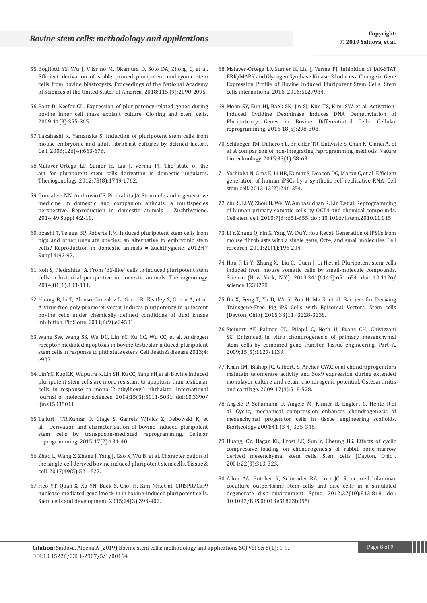- 55.[Bogliotti YS, Wu J, Vilarino M, Okamura D, Soto DA, Zhong C, et al.](https://www.pnas.org/content/115/9/2090.short)  [Efficient derivation of stable primed pluripotent embryonic stem](https://www.pnas.org/content/115/9/2090.short)  [cells from bovine blastocysts. Proceedings of the National Academy](https://www.pnas.org/content/115/9/2090.short)  [of Sciences of the United States of America. 2018;115 \(9\):2090-2095.](https://www.pnas.org/content/115/9/2090.short)
- 56.[Pant D, Keefer CL. Expression of pluripotency-related genes during](https://www.liebertpub.com/doi/abs/10.1089/clo.2008.0078)  [bovine inner cell mass explant culture. Cloning and stem cells.](https://www.liebertpub.com/doi/abs/10.1089/clo.2008.0078)  [2009;11\(3\):355-365.](https://www.liebertpub.com/doi/abs/10.1089/clo.2008.0078)
- 57.[Takahashi K, Yamanaka S. Induction of pluripotent stem cells from](https://www.sciencedirect.com/science/article/pii/S0092867406009767)  [mouse embryonic and adult fibroblast cultures by defined factors.](https://www.sciencedirect.com/science/article/pii/S0092867406009767)  [Cell. 2006;126\(4\):663-676.](https://www.sciencedirect.com/science/article/pii/S0092867406009767)
- 58.[Malaver-Ortega LF, Sumer H, Liu J, Verma PJ. The state of the](https://www.sciencedirect.com/science/article/pii/S0093691X12002026)  [art for pluripotent stem cells derivation in domestic ungulates.](https://www.sciencedirect.com/science/article/pii/S0093691X12002026)  [Theriogenology. 2012;78\(8\):1749-1762.](https://www.sciencedirect.com/science/article/pii/S0093691X12002026)
- 59.[Goncalves NN, Ambrosio CE, Piedrahita JA. Stem cells and regenerative](https://onlinelibrary.wiley.com/doi/full/10.1111/rda.12392)  [medicine in domestic and companion animals: a multispecies](https://onlinelibrary.wiley.com/doi/full/10.1111/rda.12392)  [perspective. Reproduction in domestic animals = Zuchthygiene.](https://onlinelibrary.wiley.com/doi/full/10.1111/rda.12392)  [2014;49 Suppl 4:2-10.](https://onlinelibrary.wiley.com/doi/full/10.1111/rda.12392)
- 60.[Ezashi T, Telugu BP, Roberts RM. Induced pluripotent stem cells from](https://onlinelibrary.wiley.com/doi/full/10.1111/j.1439-0531.2012.02061.x)  [pigs and other ungulate species: an alternative to embryonic stem](https://onlinelibrary.wiley.com/doi/full/10.1111/j.1439-0531.2012.02061.x)  [cells? Reproduction in domestic animals = Zuchthygiene. 2012;47](https://onlinelibrary.wiley.com/doi/full/10.1111/j.1439-0531.2012.02061.x)  [Suppl 4:92-97.](https://onlinelibrary.wiley.com/doi/full/10.1111/j.1439-0531.2012.02061.x)
- 61.[Koh S, Piedrahita JA. From "ES-like" cells to induced pluripotent stem](https://www.sciencedirect.com/science/article/pii/S0093691X13003725)  [cells: a historical perspective in domestic animals. Theriogenology.](https://www.sciencedirect.com/science/article/pii/S0093691X13003725)  [2014;81\(1\):103-111.](https://www.sciencedirect.com/science/article/pii/S0093691X13003725)
- 62.[Huang B, Li T, Alonso-Gonzalez L, Gorre R, Keatley S, Green A, et al.](https://journals.plos.org/plosone/article?id=10.1371/journal.pone.0024501)  [A virus-free poly-promoter vector induces pluripotency in quiescent](https://journals.plos.org/plosone/article?id=10.1371/journal.pone.0024501)  [bovine cells under chemically defined conditions of dual kinase](https://journals.plos.org/plosone/article?id=10.1371/journal.pone.0024501)  [inhibition. PloS one. 2011;6\(9\):e24501.](https://journals.plos.org/plosone/article?id=10.1371/journal.pone.0024501)
- 63.[Wang SW, Wang SS, Wu DC, Lin YC, Ku CC, Wu CC, et al. Androgen](https://www.nature.com/articles/cddis2013420)  [receptor-mediated apoptosis in bovine testicular induced pluripotent](https://www.nature.com/articles/cddis2013420)  [stem cells in response to phthalate esters. Cell death & disease 2013;4:](https://www.nature.com/articles/cddis2013420)  [e907.](https://www.nature.com/articles/cddis2013420)
- 64.[Lin YC, Kuo KK, Wuputra K, Lin SH, Ku CC, Yang YH,et al. Bovine induced](https://www.mdpi.com/1422-0067/15/3/5011/htm)  [pluripotent stem cells are more resistant to apoptosis than testicular](https://www.mdpi.com/1422-0067/15/3/5011/htm)  [cells in response to mono-\(2-ethylhexyl\) phthalate. International](https://www.mdpi.com/1422-0067/15/3/5011/htm)  [journal of molecular sciences. 2014;15\(3\):5011-5031.](https://www.mdpi.com/1422-0067/15/3/5011/htm) doi:10.3390/ [ijms15035011](https://www.mdpi.com/1422-0067/15/3/5011/htm)
- 65.[Talluri TR,Kumar D, Glage S, Garrels W,Ivics Z, Debowski K, et](https://www.liebertpub.com/doi/abs/10.1089/cell.2014.0080)  [al. Derivation and characterization of bovine induced pluripotent](https://www.liebertpub.com/doi/abs/10.1089/cell.2014.0080)  [stem cells by transposon-mediated reprogramming. Cellular](https://www.liebertpub.com/doi/abs/10.1089/cell.2014.0080)  [reprogramming. 2015;17\(2\):131-40.](https://www.liebertpub.com/doi/abs/10.1089/cell.2014.0080)
- 66.[Zhao L, Wang Z, Zhang J, Yang J, Gao X, Wu B, et al. Characterization of](https://www.sciencedirect.com/science/article/abs/pii/S004081661730023X)  [the single-cell derived bovine induced pluripotent stem cells. Tissue &](https://www.sciencedirect.com/science/article/abs/pii/S004081661730023X)  [cell. 2017;49\(5\):521-527.](https://www.sciencedirect.com/science/article/abs/pii/S004081661730023X)
- 67.[Heo YT, Quan X, Xu YN, Baek S, Choi H, Kim NH,et al. CRISPR/Cas9](https://www.liebertpub.com/doi/abs/10.1089/scd.2014.0278)  [nuclease-mediated gene knock-in in bovine-induced pluripotent cells.](https://www.liebertpub.com/doi/abs/10.1089/scd.2014.0278)  [Stem cells and development. 2015;24\(3\):393-402.](https://www.liebertpub.com/doi/abs/10.1089/scd.2014.0278)
- 68.[Malaver-Ortega LF, Sumer H, Liu J, Verma PJ. Inhibition of JAK-STAT](https://www.hindawi.com/journals/sci/2016/5127984/)  [ERK/MAPK and Glycogen Synthase Kinase-3 Induces a Change in Gene](https://www.hindawi.com/journals/sci/2016/5127984/)  [Expression Profile of Bovine Induced Pluripotent Stem Cells. Stem](https://www.hindawi.com/journals/sci/2016/5127984/)  [cells international 2016. 2016:5127984.](https://www.hindawi.com/journals/sci/2016/5127984/)
- 69.[Moon SY, Eun HJ, Baek SK, Jin SJ, Kim TS, Kim, SW, et al. Activation-](https://www.liebertpub.com/doi/abs/10.1089/cell.2015.0076)[Induced Cytidine Deaminase Induces DNA Demethylation of](https://www.liebertpub.com/doi/abs/10.1089/cell.2015.0076)  [Pluripotency Genes in Bovine Differentiated Cells. Cellular](https://www.liebertpub.com/doi/abs/10.1089/cell.2015.0076)  [reprogramming. 2016;18\(5\):298-308.](https://www.liebertpub.com/doi/abs/10.1089/cell.2015.0076)
- 70.[Schlaeger TM, Daheron L, Brickler TR, Entwisle S, Chan K, Cianci A, et](https://www.nature.com/articles/nbt.3070)  [al. A comparison of non-integrating reprogramming methods. Nature](https://www.nature.com/articles/nbt.3070)  [biotechnology. 2015;33\(1\):58-63.](https://www.nature.com/articles/nbt.3070)
- 71.[Yoshioka N, Gros E, Li HR, Kumar S, Deacon DC, Maron C, et al. Efficient](https://www.sciencedirect.com/science/article/pii/S1934590913002592)  [generation of human iPSCs by a synthetic self-replicative RNA. Cell](https://www.sciencedirect.com/science/article/pii/S1934590913002592)  [stem cell. 2013;13\(2\):246-254.](https://www.sciencedirect.com/science/article/pii/S1934590913002592)
- 72.[Zhu S, Li W, Zhou H, Wei W, Ambasudhan R, Lin T,et al. Reprogramming](https://www.ncbi.nlm.nih.gov/pmc/articles/PMC3812930/)  [of human primary somatic cells by OCT4 and chemical compounds.](https://www.ncbi.nlm.nih.gov/pmc/articles/PMC3812930/)  [Cell stem cell. 2010;7\(6\):651-655. doi: 10.1016/j.stem.2010.11.015](https://www.ncbi.nlm.nih.gov/pmc/articles/PMC3812930/)
- 73.[Li Y, Zhang Q, Yin X, Yang W, Du Y, Hou P,et al. Generation of iPSCs from](https://www.nature.com/articles/cr2010142)  [mouse fibroblasts with a single gene, Oct4, and small molecules. Cell](https://www.nature.com/articles/cr2010142)  [research. 2011;21\(1\):196-204.](https://www.nature.com/articles/cr2010142)
- 74.[Hou P, Li Y, Zhang X, Liu C, Guan J, Li H,et al. Pluripotent stem cells](http://science.sciencemag.org/content/early/2013/07/17/science.1239278)  [induced from mouse somatic cells by small-molecule compounds.](http://science.sciencemag.org/content/early/2013/07/17/science.1239278)  [Science \(New York, N.Y.\). 2013;341\(6146\):651-654. doi: 10.1126/](http://science.sciencemag.org/content/early/2013/07/17/science.1239278) [science.1239278](http://science.sciencemag.org/content/early/2013/07/17/science.1239278)
- 75.[Du X, Feng T, Yu D, Wu Y, Zou H, Ma S, et al. Barriers for Deriving](https://stemcellsjournals.onlinelibrary.wiley.com/doi/full/10.1002/stem.2089)  [Transgene-Free Pig iPS Cells with Episomal Vectors. Stem cells](https://stemcellsjournals.onlinelibrary.wiley.com/doi/full/10.1002/stem.2089)  [\(Dayton, Ohio\). 2015;33\(11\):3228-3238.](https://stemcellsjournals.onlinelibrary.wiley.com/doi/full/10.1002/stem.2089)
- 76.[Steinert AF, Palmer GD, Pilapil C, Noth U, Evans CH, Ghivizzani](https://www.liebertpub.com/doi/abs/10.1089/ten.tea.2007.0252)  [SC. Enhanced in vitro chondrogenesis of primary mesenchymal](https://www.liebertpub.com/doi/abs/10.1089/ten.tea.2007.0252)  [stem cells by combined gene transfer. Tissue engineering. Part A.](https://www.liebertpub.com/doi/abs/10.1089/ten.tea.2007.0252)  [2009;15\(5\):1127-1139.](https://www.liebertpub.com/doi/abs/10.1089/ten.tea.2007.0252)
- 77.[Khan IM, Bishop JC, Gilbert, S, Archer CW.Clonal chondroprogenitors](https://www.sciencedirect.com/science/article/pii/S106345840800280X)  [maintain telomerase activity and Sox9 expression during extended](https://www.sciencedirect.com/science/article/pii/S106345840800280X)  [monolayer culture and retain chondrogenic potential. Osteoarthritis](https://www.sciencedirect.com/science/article/pii/S106345840800280X)  [and cartilage. 2009;17\(4\):518-528.](https://www.sciencedirect.com/science/article/pii/S106345840800280X)
- 78.[Angele P, Schumann D, Angele M, Kinner B, Englert C, Hente R,et](https://content.iospress.com/articles/biorheology/bir312)  [al. Cyclic, mechanical compression enhances chondrogenesis of](https://content.iospress.com/articles/biorheology/bir312)  [mesenchymal progenitor cells in tissue engineering scaffolds.](https://content.iospress.com/articles/biorheology/bir312)  [Biorheology 2004;41 \(3-4\):335-346.](https://content.iospress.com/articles/biorheology/bir312)
- 79.[Huang, CY, Hagar KL, Frost LE, Sun Y, Cheung HS. Effects of cyclic](https://stemcellsjournals.onlinelibrary.wiley.com/doi/full/10.1634/stemcells.22-3-313)  [compressive loading on chondrogenesis of rabbit bone-marrow](https://stemcellsjournals.onlinelibrary.wiley.com/doi/full/10.1634/stemcells.22-3-313)  [derived mesenchymal stem cells. Stem cells \(Dayton, Ohio\).](https://stemcellsjournals.onlinelibrary.wiley.com/doi/full/10.1634/stemcells.22-3-313)  [2004;22\(3\):313-323.](https://stemcellsjournals.onlinelibrary.wiley.com/doi/full/10.1634/stemcells.22-3-313)
- 80.[Allon AA, Butcher K, Schneider RA, Lotz JC. Structured bilaminar](https://www.ncbi.nlm.nih.gov/pmc/articles/PMC3340449/)  [coculture outperforms stem cells and disc cells in a simulated](https://www.ncbi.nlm.nih.gov/pmc/articles/PMC3340449/)  [degenerate disc environment. Spine. 2012;37\(10\):813-818. doi:](https://www.ncbi.nlm.nih.gov/pmc/articles/PMC3340449/)  [10.1097/BRS.0b013e31823b055f](https://www.ncbi.nlm.nih.gov/pmc/articles/PMC3340449/)